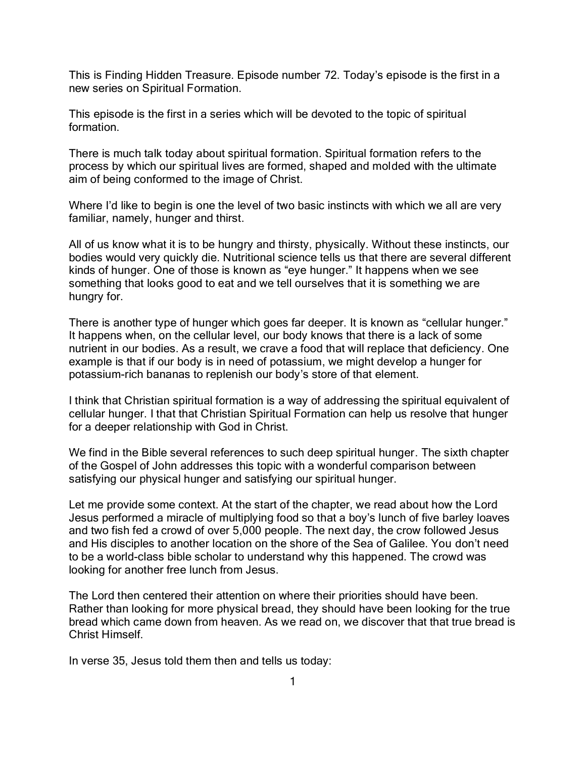This is Finding Hidden Treasure. Episode number 72. Today's episode is the first in a new series on Spiritual Formation.

This episode is the first in a series which will be devoted to the topic of spiritual formation.

There is much talk today about spiritual formation. Spiritual formation refers to the process by which our spiritual lives are formed, shaped and molded with the ultimate aim of being conformed to the image of Christ.

Where I'd like to begin is one the level of two basic instincts with which we all are very familiar, namely, hunger and thirst.

All of us know what it is to be hungry and thirsty, physically. Without these instincts, our bodies would very quickly die. Nutritional science tells us that there are several different kinds of hunger. One of those is known as "eye hunger." It happens when we see something that looks good to eat and we tell ourselves that it is something we are hungry for.

There is another type of hunger which goes far deeper. It is known as "cellular hunger." It happens when, on the cellular level, our body knows that there is a lack of some nutrient in our bodies. As a result, we crave a food that will replace that deficiency. One example is that if our body is in need of potassium, we might develop a hunger for potassium-rich bananas to replenish our body's store of that element.

I think that Christian spiritual formation is a way of addressing the spiritual equivalent of cellular hunger. I that that Christian Spiritual Formation can help us resolve that hunger for a deeper relationship with God in Christ.

We find in the Bible several references to such deep spiritual hunger. The sixth chapter of the Gospel of John addresses this topic with a wonderful comparison between satisfying our physical hunger and satisfying our spiritual hunger.

Let me provide some context. At the start of the chapter, we read about how the Lord Jesus performed a miracle of multiplying food so that a boy's lunch of five barley loaves and two fish fed a crowd of over 5,000 people. The next day, the crow followed Jesus and His disciples to another location on the shore of the Sea of Galilee. You don't need to be a world-class bible scholar to understand why this happened. The crowd was looking for another free lunch from Jesus.

The Lord then centered their attention on where their priorities should have been. Rather than looking for more physical bread, they should have been looking for the true bread which came down from heaven. As we read on, we discover that that true bread is Christ Himself.

In verse 35, Jesus told them then and tells us today: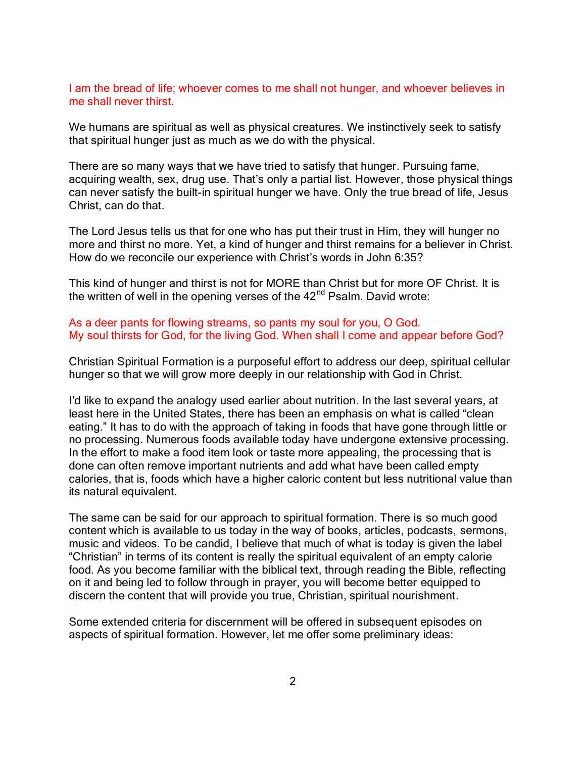I am the bread of life; whoever comes to me shall not hunger, and whoever believes in me shall never thirst.

We humans are spiritual as well as physical creatures. We instinctively seek to satisfy that spiritual hunger just as much as we do with the physical.

There are so many ways that we have tried to satisfy that hunger. Pursuing fame, acquiring wealth, sex, drug use. That's only a partial list. However, those physical things can never satisfy the built-in spiritual hunger we have. Only the true bread of life, Jesus Christ, can do that.

The Lord Jesus tells us that for one who has put their trust in Him, they will hunger no more and thirst no more. Yet, a kind of hunger and thirst remains for a believer in Christ. How do we reconcile our experience with Christ's words in John 6:35?

This kind of hunger and thirst is not for MORE than Christ but for more OF Christ. It is the written of well in the opening verses of the  $42<sup>nd</sup>$  Psalm. David wrote:

## As a deer pants for flowing streams, so pants my soul for you, O God. My soul thirsts for God, for the living God. When shall I come and appear before God?

Christian Spiritual Formation is a purposeful effort to address our deep, spiritual cellular hunger so that we will grow more deeply in our relationship with God in Christ.

I'd like to expand the analogy used earlier about nutrition. In the last several years, at least here in the United States, there has been an emphasis on what is called "clean eating." It has to do with the approach of taking in foods that have gone through little or no processing. Numerous foods available today have undergone extensive processing. In the effort to make a food item look or taste more appealing, the processing that is done can often remove important nutrients and add what have been called empty calories, that is, foods which have a higher caloric content but less nutritional value than its natural equivalent.

The same can be said for our approach to spiritual formation. There is so much good content which is available to us today in the way of books, articles, podcasts, sermons, music and videos. To be candid, I believe that much of what is today is given the label "Christian" in terms of its content is really the spiritual equivalent of an empty calorie food. As you become familiar with the biblical text, through reading the Bible, reflecting on it and being led to follow through in prayer, you will become better equipped to discern the content that will provide you true, Christian, spiritual nourishment.

Some extended criteria for discernment will be offered in subsequent episodes on aspects of spiritual formation. However, let me offer some preliminary ideas: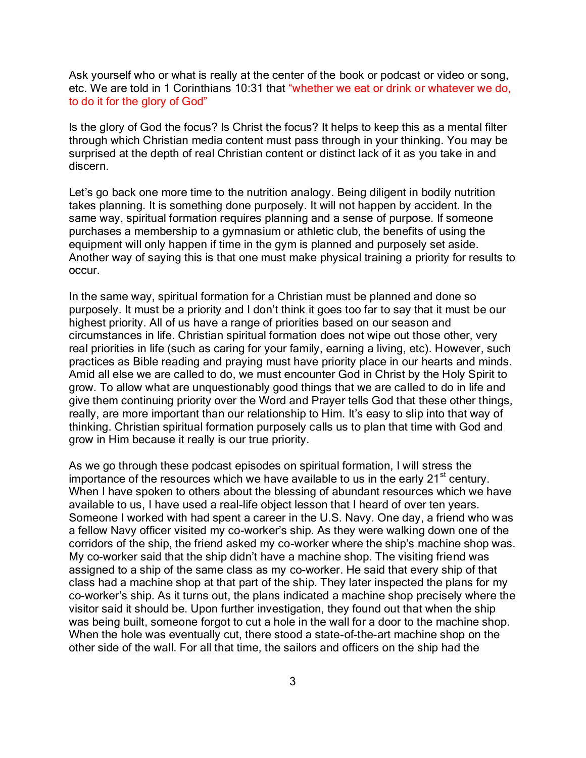Ask yourself who or what is really at the center of the book or podcast or video or song, etc. We are told in 1 Corinthians 10:31 that "whether we eat or drink or whatever we do, to do it for the glory of God"

Is the glory of God the focus? Is Christ the focus? It helps to keep this as a mental filter through which Christian media content must pass through in your thinking. You may be surprised at the depth of real Christian content or distinct lack of it as you take in and discern.

Let's go back one more time to the nutrition analogy. Being diligent in bodily nutrition takes planning. It is something done purposely. It will not happen by accident. In the same way, spiritual formation requires planning and a sense of purpose. If someone purchases a membership to a gymnasium or athletic club, the benefits of using the equipment will only happen if time in the gym is planned and purposely set aside. Another way of saying this is that one must make physical training a priority for results to occur.

In the same way, spiritual formation for a Christian must be planned and done so purposely. It must be a priority and I don't think it goes too far to say that it must be our highest priority. All of us have a range of priorities based on our season and circumstances in life. Christian spiritual formation does not wipe out those other, very real priorities in life (such as caring for your family, earning a living, etc). However, such practices as Bible reading and praying must have priority place in our hearts and minds. Amid all else we are called to do, we must encounter God in Christ by the Holy Spirit to grow. To allow what are unquestionably good things that we are called to do in life and give them continuing priority over the Word and Prayer tells God that these other things, really, are more important than our relationship to Him. It's easy to slip into that way of thinking. Christian spiritual formation purposely calls us to plan that time with God and grow in Him because it really is our true priority.

As we go through these podcast episodes on spiritual formation, I will stress the importance of the resources which we have available to us in the early  $21<sup>st</sup>$  century. When I have spoken to others about the blessing of abundant resources which we have available to us, I have used a real-life object lesson that I heard of over ten years. Someone I worked with had spent a career in the U.S. Navy. One day, a friend who was a fellow Navy officer visited my co-worker's ship. As they were walking down one of the corridors of the ship, the friend asked my co-worker where the ship's machine shop was. My co-worker said that the ship didn't have a machine shop. The visiting friend was assigned to a ship of the same class as my co-worker. He said that every ship of that class had a machine shop at that part of the ship. They later inspected the plans for my co-worker's ship. As it turns out, the plans indicated a machine shop precisely where the visitor said it should be. Upon further investigation, they found out that when the ship was being built, someone forgot to cut a hole in the wall for a door to the machine shop. When the hole was eventually cut, there stood a state-of-the-art machine shop on the other side of the wall. For all that time, the sailors and officers on the ship had the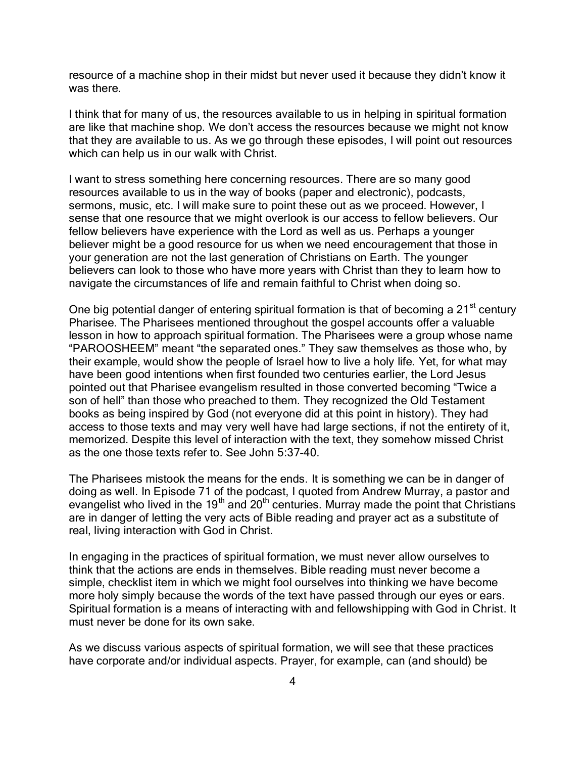resource of a machine shop in their midst but never used it because they didn't know it was there.

I think that for many of us, the resources available to us in helping in spiritual formation are like that machine shop. We don't access the resources because we might not know that they are available to us. As we go through these episodes, I will point out resources which can help us in our walk with Christ.

I want to stress something here concerning resources. There are so many good resources available to us in the way of books (paper and electronic), podcasts, sermons, music, etc. I will make sure to point these out as we proceed. However, I sense that one resource that we might overlook is our access to fellow believers. Our fellow believers have experience with the Lord as well as us. Perhaps a younger believer might be a good resource for us when we need encouragement that those in your generation are not the last generation of Christians on Earth. The younger believers can look to those who have more years with Christ than they to learn how to navigate the circumstances of life and remain faithful to Christ when doing so.

One big potential danger of entering spiritual formation is that of becoming a  $21<sup>st</sup>$  century Pharisee. The Pharisees mentioned throughout the gospel accounts offer a valuable lesson in how to approach spiritual formation. The Pharisees were a group whose name "PAROOSHEEM" meant "the separated ones." They saw themselves as those who, by their example, would show the people of Israel how to live a holy life. Yet, for what may have been good intentions when first founded two centuries earlier, the Lord Jesus pointed out that Pharisee evangelism resulted in those converted becoming "Twice a son of hell" than those who preached to them. They recognized the Old Testament books as being inspired by God (not everyone did at this point in history). They had access to those texts and may very well have had large sections, if not the entirety of it, memorized. Despite this level of interaction with the text, they somehow missed Christ as the one those texts refer to. See John 5:37-40.

The Pharisees mistook the means for the ends. It is something we can be in danger of doing as well. In Episode 71 of the podcast, I quoted from Andrew Murray, a pastor and evangelist who lived in the 19<sup>th</sup> and 20<sup>th</sup> centuries. Murray made the point that Christians are in danger of letting the very acts of Bible reading and prayer act as a substitute of real, living interaction with God in Christ.

In engaging in the practices of spiritual formation, we must never allow ourselves to think that the actions are ends in themselves. Bible reading must never become a simple, checklist item in which we might fool ourselves into thinking we have become more holy simply because the words of the text have passed through our eyes or ears. Spiritual formation is a means of interacting with and fellowshipping with God in Christ. It must never be done for its own sake.

As we discuss various aspects of spiritual formation, we will see that these practices have corporate and/or individual aspects. Prayer, for example, can (and should) be